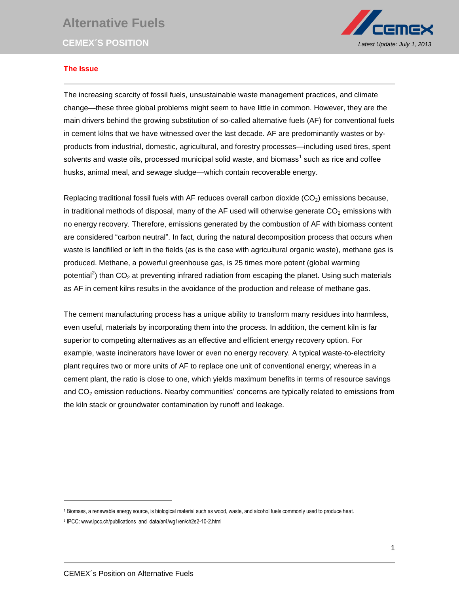## **Alternative Fuels**



## **The Issue**

The increasing scarcity of fossil fuels, unsustainable waste management practices, and climate change—these three global problems might seem to have little in common. However, they are the main drivers behind the growing substitution of so-called alternative fuels (AF) for conventional fuels in cement kilns that we have witnessed over the last decade. AF are predominantly wastes or byproducts from industrial, domestic, agricultural, and forestry processes—including used tires, spent solvents and waste oils, processed municipal solid waste, and biomass<sup>1</sup> such as rice and coffee husks, animal meal, and sewage sludge—which contain recoverable energy.

Replacing traditional fossil fuels with AF reduces overall carbon dioxide  $(CO<sub>2</sub>)$  emissions because, in traditional methods of disposal, many of the AF used will otherwise generate  $CO<sub>2</sub>$  emissions with no energy recovery. Therefore, emissions generated by the combustion of AF with biomass content are considered "carbon neutral". In fact, during the natural decomposition process that occurs when waste is landfilled or left in the fields (as is the case with agricultural organic waste), methane gas is produced. Methane, a powerful greenhouse gas, is 25 times more potent (global warming potential<sup>2</sup>) than CO<sub>2</sub> at preventing infrared radiation from escaping the planet. Using such materials as AF in cement kilns results in the avoidance of the production and release of methane gas.

The cement manufacturing process has a unique ability to transform many residues into harmless, even useful, materials by incorporating them into the process. In addition, the cement kiln is far superior to competing alternatives as an effective and efficient energy recovery option. For example, waste incinerators have lower or even no energy recovery. A typical waste-to-electricity plant requires two or more units of AF to replace one unit of conventional energy; whereas in a cement plant, the ratio is close to one, which yields maximum benefits in terms of resource savings and CO<sub>2</sub> emission reductions. Nearby communities' concerns are typically related to emissions from the kiln stack or groundwater contamination by runoff and leakage.

l

<sup>1</sup> Biomass, a renewable energy source, is biological material such as wood, waste, and alcohol fuels commonly used to produce heat.

<sup>2</sup> IPCC: www.ipcc.ch/publications\_and\_data/ar4/wg1/en/ch2s2-10-2.html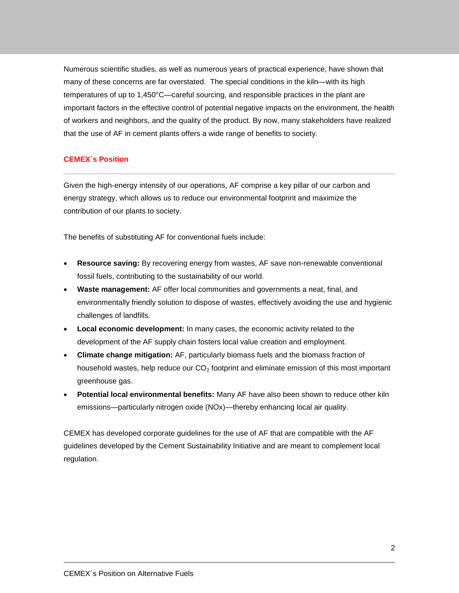Numerous scientific studies, as well as numerous years of practical experience, have shown that many of these concerns are far overstated. The special conditions in the kiln—with its high temperatures of up to 1,450°C—careful sourcing, and responsible practices in the plant are important factors in the effective control of potential negative impacts on the environment, the health of workers and neighbors, and the quality of the product. By now, many stakeholders have realized that the use of AF in cement plants offers a wide range of benefits to society.

## **CEMEX´s Position**

Given the high-energy intensity of our operations, AF comprise a key pillar of our carbon and energy strategy, which allows us to reduce our environmental footprint and maximize the contribution of our plants to society.

The benefits of substituting AF for conventional fuels include:

- **Resource saving:** By recovering energy from wastes, AF save non-renewable conventional fossil fuels, contributing to the sustainability of our world.
- **Waste management:** AF offer local communities and governments a neat, final, and environmentally friendly solution to dispose of wastes, effectively avoiding the use and hygienic challenges of landfills.
- **Local economic development:** In many cases, the economic activity related to the development of the AF supply chain fosters local value creation and employment.
- **Climate change mitigation:** AF, particularly biomass fuels and the biomass fraction of household wastes, help reduce our  $CO<sub>2</sub>$  footprint and eliminate emission of this most important greenhouse gas.
- **Potential local environmental benefits:** Many AF have also been shown to reduce other kiln emissions—particularly nitrogen oxide (NOx)—thereby enhancing local air quality.

CEMEX has developed corporate guidelines for the use of AF that are compatible with the AF guidelines developed by the Cement Sustainability Initiative and are meant to complement local regulation.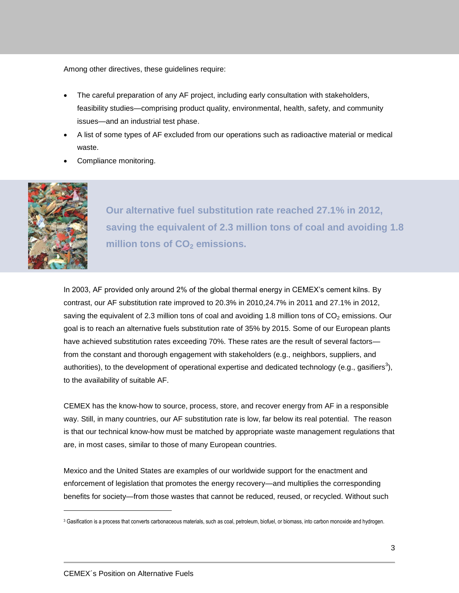Among other directives, these guidelines require:

- The careful preparation of any AF project, including early consultation with stakeholders, feasibility studies—comprising product quality, environmental, health, safety, and community issues—and an industrial test phase.
- A list of some types of AF excluded from our operations such as radioactive material or medical waste.
- Compliance monitoring.



 $\overline{a}$ 

**Our alternative fuel substitution rate reached 27.1% in 2012, saving the equivalent of 2.3 million tons of coal and avoiding 1.8 million tons of CO<sup>2</sup> emissions.**

In 2003, AF provided only around 2% of the global thermal energy in CEMEX's cement kilns. By contrast, our AF substitution rate improved to 20.3% in 2010,24.7% in 2011 and 27.1% in 2012, saving the equivalent of 2.3 million tons of coal and avoiding 1.8 million tons of  $CO<sub>2</sub>$  emissions. Our goal is to reach an alternative fuels substitution rate of 35% by 2015. Some of our European plants have achieved substitution rates exceeding 70%. These rates are the result of several factors from the constant and thorough engagement with stakeholders (e.g., neighbors, suppliers, and authorities), to the development of operational expertise and dedicated technology (e.g., gasifiers<sup>3</sup>), to the availability of suitable AF.

CEMEX has the know-how to source, process, store, and recover energy from AF in a responsible way. Still, in many countries, our AF substitution rate is low, far below its real potential. The reason is that our technical know-how must be matched by appropriate waste management regulations that are, in most cases, similar to those of many European countries.

Mexico and the United States are examples of our worldwide support for the enactment and enforcement of legislation that promotes the energy recovery—and multiplies the corresponding benefits for society—from those wastes that cannot be reduced, reused, or recycled. Without such

<sup>&</sup>lt;sup>3</sup> Gasification is a process that converts carbonaceous materials, such as coal, petroleum, biofuel, or biomass, into carbon monoxide and hydrogen.